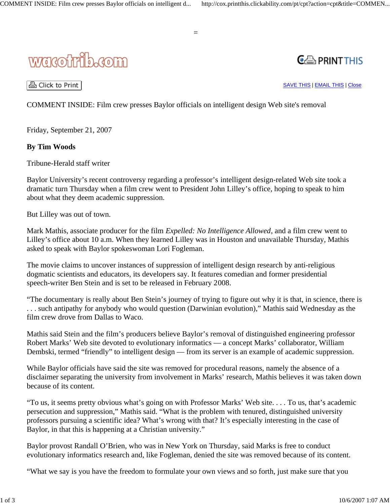





A Click to Print |

SAVE THIS | EMAIL THIS | Close

COMMENT INSIDE: Film crew presses Baylor officials on intelligent design Web site's removal

Friday, September 21, 2007

## **By Tim Woods**

Tribune-Herald staff writer

Baylor University's recent controversy regarding a professor's intelligent design-related Web site took a dramatic turn Thursday when a film crew went to President John Lilley's office, hoping to speak to him about what they deem academic suppression.

But Lilley was out of town.

Mark Mathis, associate producer for the film *Expelled: No Intelligence Allowed*, and a film crew went to Lilley's office about 10 a.m. When they learned Lilley was in Houston and unavailable Thursday, Mathis asked to speak with Baylor spokeswoman Lori Fogleman.

The movie claims to uncover instances of suppression of intelligent design research by anti-religious dogmatic scientists and educators, its developers say. It features comedian and former presidential speech-writer Ben Stein and is set to be released in February 2008.

"The documentary is really about Ben Stein's journey of trying to figure out why it is that, in science, there is . . . such antipathy for anybody who would question (Darwinian evolution)," Mathis said Wednesday as the film crew drove from Dallas to Waco.

Mathis said Stein and the film's producers believe Baylor's removal of distinguished engineering professor Robert Marks' Web site devoted to evolutionary informatics — a concept Marks' collaborator, William Dembski, termed "friendly" to intelligent design — from its server is an example of academic suppression.

While Baylor officials have said the site was removed for procedural reasons, namely the absence of a disclaimer separating the university from involvement in Marks' research, Mathis believes it was taken down because of its content.

"To us, it seems pretty obvious what's going on with Professor Marks' Web site. . . . To us, that's academic persecution and suppression," Mathis said. "What is the problem with tenured, distinguished university professors pursuing a scientific idea? What's wrong with that? It's especially interesting in the case of Baylor, in that this is happening at a Christian university."

Baylor provost Randall O'Brien, who was in New York on Thursday, said Marks is free to conduct evolutionary informatics research and, like Fogleman, denied the site was removed because of its content.

"What we say is you have the freedom to formulate your own views and so forth, just make sure that you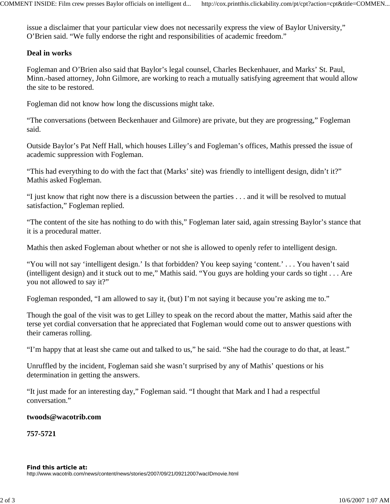issue a disclaimer that your particular view does not necessarily express the view of Baylor University," O'Brien said. "We fully endorse the right and responsibilities of academic freedom."

## **Deal in works**

Fogleman and O'Brien also said that Baylor's legal counsel, Charles Beckenhauer, and Marks' St. Paul, Minn.-based attorney, John Gilmore, are working to reach a mutually satisfying agreement that would allow the site to be restored.

Fogleman did not know how long the discussions might take.

"The conversations (between Beckenhauer and Gilmore) are private, but they are progressing," Fogleman said.

Outside Baylor's Pat Neff Hall, which houses Lilley's and Fogleman's offices, Mathis pressed the issue of academic suppression with Fogleman.

"This had everything to do with the fact that (Marks' site) was friendly to intelligent design, didn't it?" Mathis asked Fogleman.

"I just know that right now there is a discussion between the parties . . . and it will be resolved to mutual satisfaction," Fogleman replied.

"The content of the site has nothing to do with this," Fogleman later said, again stressing Baylor's stance that it is a procedural matter.

Mathis then asked Fogleman about whether or not she is allowed to openly refer to intelligent design.

"You will not say 'intelligent design.' Is that forbidden? You keep saying 'content.' . . . You haven't said (intelligent design) and it stuck out to me," Mathis said. "You guys are holding your cards so tight . . . Are you not allowed to say it?"

Fogleman responded, "I am allowed to say it, (but) I'm not saying it because you're asking me to."

Though the goal of the visit was to get Lilley to speak on the record about the matter, Mathis said after the terse yet cordial conversation that he appreciated that Fogleman would come out to answer questions with their cameras rolling.

"I'm happy that at least she came out and talked to us," he said. "She had the courage to do that, at least."

Unruffled by the incident, Fogleman said she wasn't surprised by any of Mathis' questions or his determination in getting the answers.

"It just made for an interesting day," Fogleman said. "I thought that Mark and I had a respectful conversation."

## **twoods@wacotrib.com**

**757-5721**